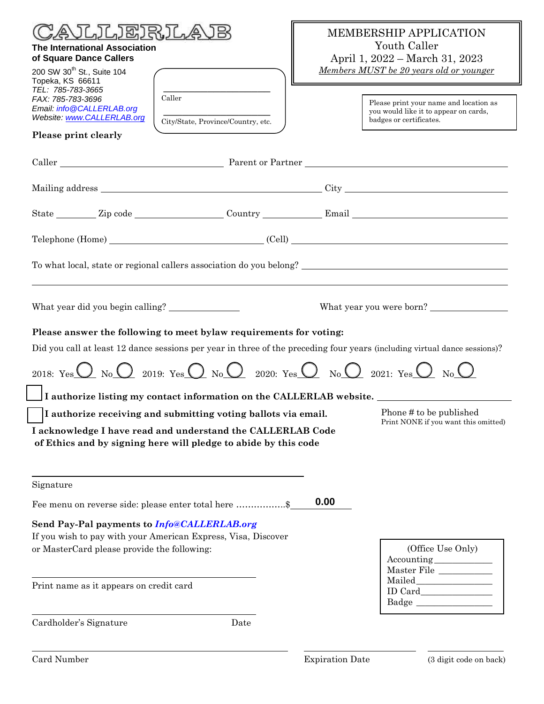| <b>《いしァしゃ》 こくぶん しょうしょう しょうしょう しょうしょう しょうしょう</b><br><b>The International Association</b><br>of Square Dance Callers<br>200 SW 30 <sup>th</sup> St., Suite 104<br>Topeka, KS 66611<br>TEL: 785-783-3665<br>Caller<br>FAX: 785-783-3696<br>Email: info@CALLERLAB.org<br>Website: www.CALLERLAB.org<br>City/State, Province/Country, etc.<br>Please print clearly                                                                                          | <b>MEMBERSHIP APPLICATION</b><br>Youth Caller<br>April 1, 2022 – March 31, 2023<br>Members MUST be 20 years old or younger<br>badges or certificates. | Please print your name and location as<br>you would like it to appear on cards, |  |  |  |  |
|--------------------------------------------------------------------------------------------------------------------------------------------------------------------------------------------------------------------------------------------------------------------------------------------------------------------------------------------------------------------------------------------------------------------------------------------------------|-------------------------------------------------------------------------------------------------------------------------------------------------------|---------------------------------------------------------------------------------|--|--|--|--|
|                                                                                                                                                                                                                                                                                                                                                                                                                                                        |                                                                                                                                                       |                                                                                 |  |  |  |  |
|                                                                                                                                                                                                                                                                                                                                                                                                                                                        |                                                                                                                                                       |                                                                                 |  |  |  |  |
|                                                                                                                                                                                                                                                                                                                                                                                                                                                        |                                                                                                                                                       |                                                                                 |  |  |  |  |
|                                                                                                                                                                                                                                                                                                                                                                                                                                                        |                                                                                                                                                       |                                                                                 |  |  |  |  |
|                                                                                                                                                                                                                                                                                                                                                                                                                                                        |                                                                                                                                                       |                                                                                 |  |  |  |  |
| What year did you begin calling? _______________<br>What year you were born?                                                                                                                                                                                                                                                                                                                                                                           |                                                                                                                                                       |                                                                                 |  |  |  |  |
| Please answer the following to meet bylaw requirements for voting:<br>Did you call at least 12 dance sessions per year in three of the preceding four years (including virtual dance sessions)?<br>2018: Yes $\overline{O}$ No $\overline{O}$ 2019: Yes $\overline{O}$ No $\overline{O}$ 2020: Yes $\overline{O}$ No $\overline{O}$ 2021: Yes $\overline{O}$ No $\overline{O}$<br>I authorize listing my contact information on the CALLERLAB website. |                                                                                                                                                       |                                                                                 |  |  |  |  |
| I authorize receiving and submitting voting ballots via email.<br>I acknowledge I have read and understand the CALLERLAB Code<br>of Ethics and by signing here will pledge to abide by this code                                                                                                                                                                                                                                                       |                                                                                                                                                       | Phone # to be published<br>Print NONE if you want this omitted)                 |  |  |  |  |
| Signature                                                                                                                                                                                                                                                                                                                                                                                                                                              |                                                                                                                                                       |                                                                                 |  |  |  |  |
| Fee menu on reverse side: please enter total here \$                                                                                                                                                                                                                                                                                                                                                                                                   | 0.00                                                                                                                                                  |                                                                                 |  |  |  |  |
| Send Pay-Pal payments to Info@CALLERLAB.org<br>If you wish to pay with your American Express, Visa, Discover<br>or MasterCard please provide the following:                                                                                                                                                                                                                                                                                            |                                                                                                                                                       | (Office Use Only)<br>Master File                                                |  |  |  |  |
| Print name as it appears on credit card                                                                                                                                                                                                                                                                                                                                                                                                                |                                                                                                                                                       |                                                                                 |  |  |  |  |
| Cardholder's Signature<br>Date                                                                                                                                                                                                                                                                                                                                                                                                                         |                                                                                                                                                       |                                                                                 |  |  |  |  |
| Card Number                                                                                                                                                                                                                                                                                                                                                                                                                                            | <b>Expiration Date</b>                                                                                                                                | (3 digit code on back)                                                          |  |  |  |  |